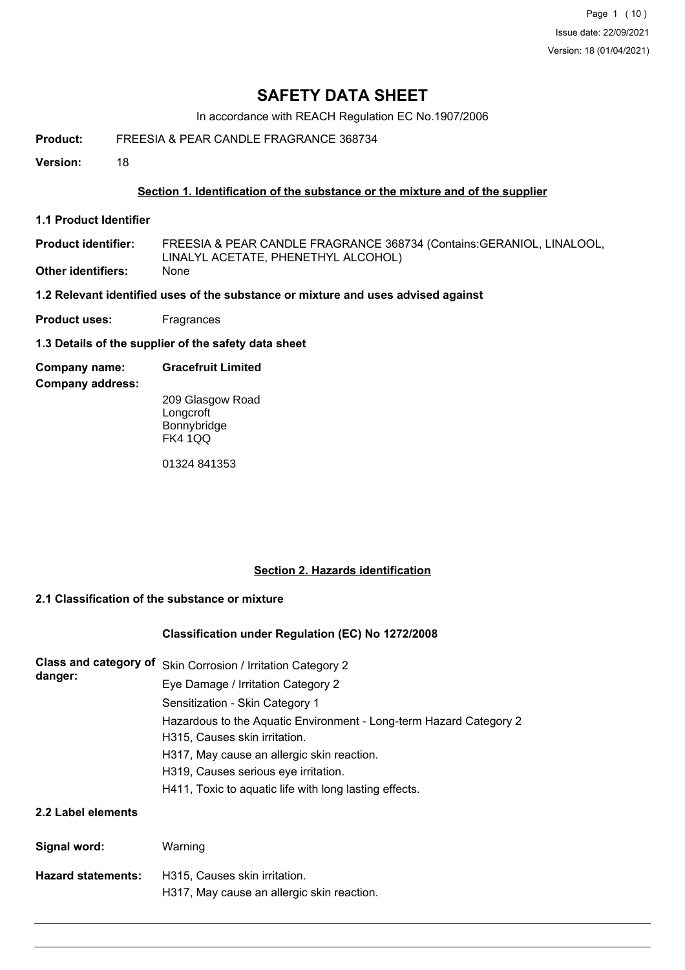Page 1 (10) Issue date: 22/09/2021 Version: 18 (01/04/2021)

# **SAFETY DATA SHEET**

In accordance with REACH Regulation EC No.1907/2006

**Product:** FREESIA & PEAR CANDLE FRAGRANCE 368734

**Version:** 18

## **Section 1. Identification of the substance or the mixture and of the supplier**

**1.1 Product Identifier**

FREESIA & PEAR CANDLE FRAGRANCE 368734 (Contains:GERANIOL, LINALOOL, LINALYL ACETATE, PHENETHYL ALCOHOL) **Product identifier: Other identifiers:** None

**1.2 Relevant identified uses of the substance or mixture and uses advised against**

- **Product uses:** Fragrances
- **1.3 Details of the supplier of the safety data sheet**
- **Company name: Gracefruit Limited**

**Company address:**

209 Glasgow Road **Longcroft** Bonnybridge FK4 1QQ

01324 841353

## **Section 2. Hazards identification**

### **2.1 Classification of the substance or mixture**

### **Classification under Regulation (EC) No 1272/2008**

| Class and category of<br>danger: | Skin Corrosion / Irritation Category 2<br>Eye Damage / Irritation Category 2                        |  |  |  |
|----------------------------------|-----------------------------------------------------------------------------------------------------|--|--|--|
|                                  | Sensitization - Skin Category 1                                                                     |  |  |  |
|                                  | Hazardous to the Aquatic Environment - Long-term Hazard Category 2<br>H315, Causes skin irritation. |  |  |  |
|                                  | H317, May cause an allergic skin reaction.                                                          |  |  |  |
|                                  | H319, Causes serious eye irritation.                                                                |  |  |  |
|                                  | H411, Toxic to aquatic life with long lasting effects.                                              |  |  |  |
| 2.2 Label elements               |                                                                                                     |  |  |  |
| Signal word:                     | Warning                                                                                             |  |  |  |
| <b>Hazard statements:</b>        | H315, Causes skin irritation.                                                                       |  |  |  |
|                                  | H317, May cause an allergic skin reaction.                                                          |  |  |  |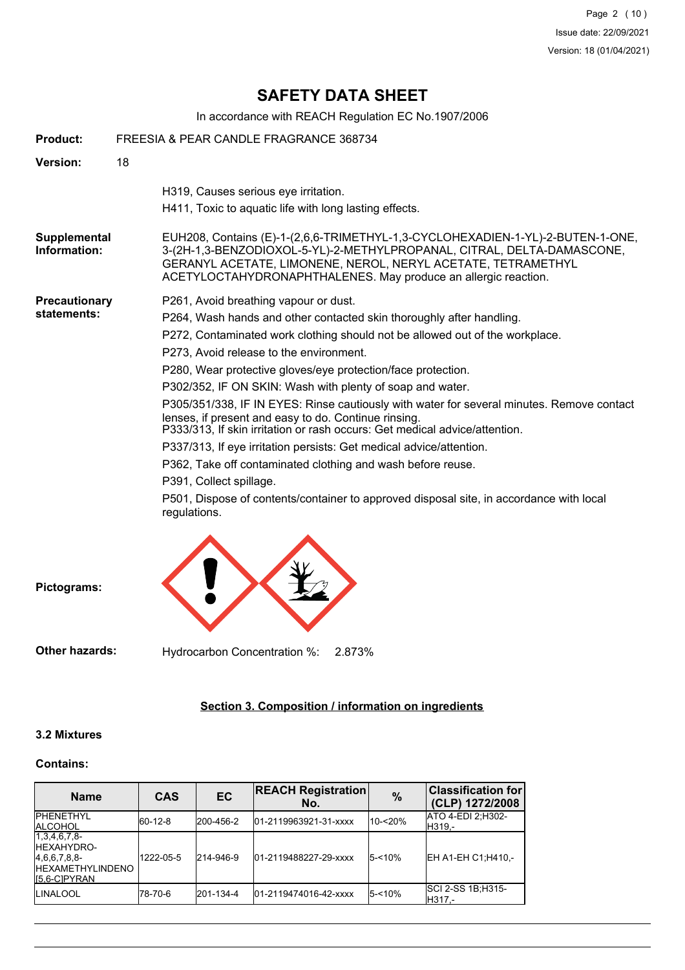Page 2 (10) Issue date: 22/09/2021 Version: 18 (01/04/2021)

# **SAFETY DATA SHEET**

In accordance with REACH Regulation EC No.1907/2006

| Product:                                                     | FREESIA & PEAR CANDLE FRAGRANCE 368734 |                                                                                                                                                                                                                                                                                            |  |  |  |
|--------------------------------------------------------------|----------------------------------------|--------------------------------------------------------------------------------------------------------------------------------------------------------------------------------------------------------------------------------------------------------------------------------------------|--|--|--|
| Version:                                                     | 18                                     |                                                                                                                                                                                                                                                                                            |  |  |  |
|                                                              |                                        | H319, Causes serious eye irritation.<br>H411, Toxic to aquatic life with long lasting effects.                                                                                                                                                                                             |  |  |  |
| Supplemental<br>Information:                                 |                                        | EUH208, Contains (E)-1-(2,6,6-TRIMETHYL-1,3-CYCLOHEXADIEN-1-YL)-2-BUTEN-1-ONE,<br>3-(2H-1,3-BENZODIOXOL-5-YL)-2-METHYLPROPANAL, CITRAL, DELTA-DAMASCONE,<br>GERANYL ACETATE, LIMONENE, NEROL, NERYL ACETATE, TETRAMETHYL<br>ACETYLOCTAHYDRONAPHTHALENES. May produce an allergic reaction. |  |  |  |
| <b>Precautionary</b>                                         |                                        | P261, Avoid breathing vapour or dust.                                                                                                                                                                                                                                                      |  |  |  |
| statements:                                                  |                                        | P264, Wash hands and other contacted skin thoroughly after handling.                                                                                                                                                                                                                       |  |  |  |
|                                                              |                                        | P272, Contaminated work clothing should not be allowed out of the workplace.                                                                                                                                                                                                               |  |  |  |
|                                                              |                                        | P273, Avoid release to the environment.                                                                                                                                                                                                                                                    |  |  |  |
| P280, Wear protective gloves/eye protection/face protection. |                                        |                                                                                                                                                                                                                                                                                            |  |  |  |
|                                                              |                                        | P302/352, IF ON SKIN: Wash with plenty of soap and water.                                                                                                                                                                                                                                  |  |  |  |
|                                                              |                                        | P305/351/338, IF IN EYES: Rinse cautiously with water for several minutes. Remove contact<br>lenses, if present and easy to do. Continue rinsing.<br>P333/313, If skin irritation or rash occurs: Get medical advice/attention.                                                            |  |  |  |
|                                                              |                                        | P337/313, If eye irritation persists: Get medical advice/attention.                                                                                                                                                                                                                        |  |  |  |
|                                                              |                                        | P362, Take off contaminated clothing and wash before reuse.                                                                                                                                                                                                                                |  |  |  |
|                                                              |                                        | P391, Collect spillage.                                                                                                                                                                                                                                                                    |  |  |  |
|                                                              |                                        | P501, Dispose of contents/container to approved disposal site, in accordance with local<br>regulations.                                                                                                                                                                                    |  |  |  |
|                                                              |                                        |                                                                                                                                                                                                                                                                                            |  |  |  |

**Pictograms:**

**Other hazards:** Hydrocarbon Concentration %: 2.873%

## **Section 3. Composition / information on ingredients**

## **3.2 Mixtures**

## **Contains:**

| <b>Name</b>                                                                                   | <b>CAS</b> | EC        | <b>REACH Registration</b><br>No. | %         | <b>Classification for</b><br>(CLP) 1272/2008 |
|-----------------------------------------------------------------------------------------------|------------|-----------|----------------------------------|-----------|----------------------------------------------|
| <b>IPHENETHYL</b><br><b>IALCOHOL</b>                                                          | 60-12-8    | 200-456-2 | 01-2119963921-31-xxxx            | 10-<20%   | <b>ATO 4-EDI 2:H302-</b><br>H319.-           |
| 1,3,4,6,7,8<br><b>IHEXAHYDRO-</b><br>[4,6,6,7,8,8]<br><b>HEXAMETHYLINDENO</b><br>IS.6-CIPYRAN | 1222-05-5  | 214-946-9 | 01-2119488227-29-xxxx            | $5 - 10%$ | EH A1-EH C1; H410,-                          |
| <b>ILINALOOL</b>                                                                              | l78-70-6   | 201-134-4 | l01-2119474016-42-xxxx           | $5 - 10%$ | ISCI 2-SS 1B:H315-<br>H317.-                 |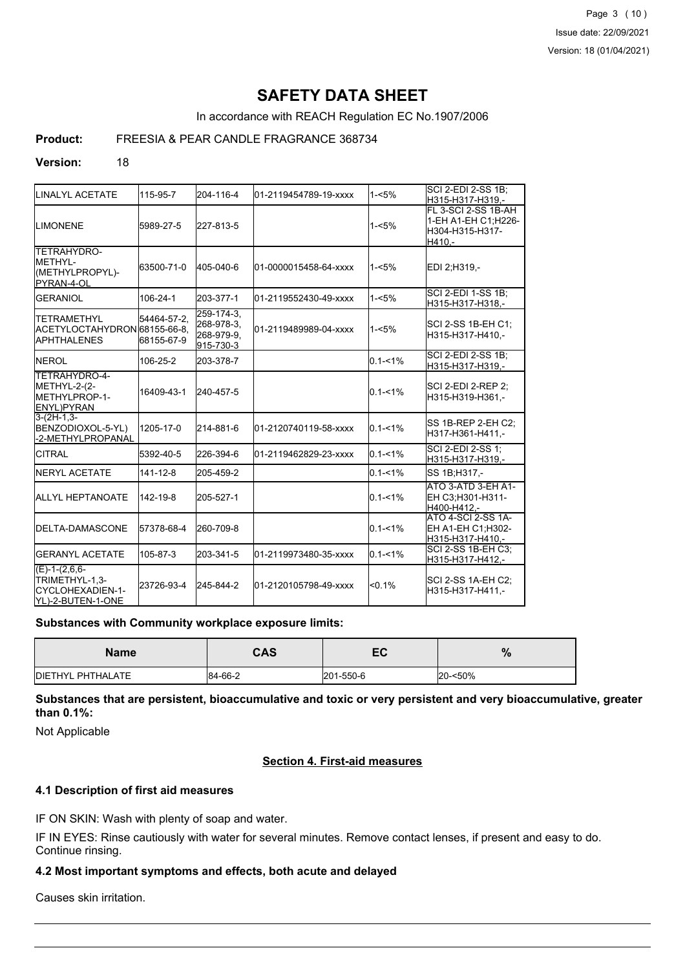Page 3 (10) Issue date: 22/09/2021 Version: 18 (01/04/2021)

# **SAFETY DATA SHEET**

In accordance with REACH Regulation EC No.1907/2006

## **Product:** FREESIA & PEAR CANDLE FRAGRANCE 368734

#### **Version:** 18

|                                                                             |                           |                                                     |                       |             | ISCI 2-EDI 2-SS 1B:                                                     |
|-----------------------------------------------------------------------------|---------------------------|-----------------------------------------------------|-----------------------|-------------|-------------------------------------------------------------------------|
| <b>LINALYL ACETATE</b>                                                      | 115-95-7                  | 204-116-4                                           | 01-2119454789-19-xxxx | $1 - 5%$    | H315-H317-H319.-                                                        |
| <b>LIMONENE</b>                                                             | 5989-27-5                 | 227-813-5                                           |                       | $1 - 5%$    | FL 3-SCI 2-SS 1B-AH<br>1-EH A1-EH C1;H226-<br>H304-H315-H317-<br>H410.- |
| TETRAHYDRO-<br>IMETHYL-<br>(METHYLPROPYL)-<br>PYRAN-4-OL                    | 63500-71-0                | 405-040-6                                           | 01-0000015458-64-xxxx | $1 - 5%$    | EDI 2:H319.-                                                            |
| <b>GERANIOL</b>                                                             | 106-24-1                  | 203-377-1                                           | 01-2119552430-49-xxxx | $1 - 5%$    | <b>SCI 2-EDI 1-SS 1B:</b><br>H315-H317-H318,-                           |
| <b>TETRAMETHYL</b><br>ACETYLOCTAHYDRON 68155-66-8.<br><b>I</b> APHTHALENES  | 54464-57-2.<br>68155-67-9 | 259-174-3.<br>268-978-3.<br>268-979-9,<br>915-730-3 | 01-2119489989-04-xxxx | $1 - 5%$    | SCI 2-SS 1B-EH C1:<br>H315-H317-H410.-                                  |
| <b>INEROL</b>                                                               | 106-25-2                  | 203-378-7                                           |                       | $0.1 - 1\%$ | <b>SCI 2-EDI 2-SS 1B:</b><br>H315-H317-H319,-                           |
| TETRAHYDRO-4-<br>METHYL-2-(2-<br><b>IMETHYLPROP-1-</b><br><b>ENYL)PYRAN</b> | 16409-43-1                | 240-457-5                                           |                       | $0.1 - 1\%$ | SCI 2-EDI 2-REP 2;<br>H315-H319-H361.-                                  |
| $3-(2H-1,3-$<br>BENZODIOXOL-5-YL)<br>-2-METHYLPROPANAL                      | 1205-17-0                 | 214-881-6                                           | 01-2120740119-58-xxxx | $0.1 - 1\%$ | SS 1B-REP 2-EH C2:<br>H317-H361-H411.-                                  |
| <b>CITRAL</b>                                                               | 5392-40-5                 | 226-394-6                                           | 01-2119462829-23-xxxx | $0.1 - 1\%$ | SCI 2-EDI 2-SS 1:<br>H315-H317-H319,-                                   |
| <b>INERYL ACETATE</b>                                                       | $141 - 12 - 8$            | 205-459-2                                           |                       | $0.1 - 1\%$ | SS 1B; H317,-                                                           |
| <b>I</b> ALLYL HEPTANOATE                                                   | 142-19-8                  | 205-527-1                                           |                       | $0.1 - 1\%$ | ATO 3-ATD 3-EH A1-<br>EH C3:H301-H311-<br>H400-H412.-                   |
| <b>I</b> DELTA-DAMASCONE                                                    | 57378-68-4                | 260-709-8                                           |                       | $0.1 - 1\%$ | ATO 4-SCI 2-SS 1A-<br>EH A1-EH C1;H302-<br>H315-H317-H410.-             |
| <b>GERANYL ACETATE</b>                                                      | 105-87-3                  | 203-341-5                                           | 01-2119973480-35-xxxx | $0.1 - 1\%$ | SCI 2-SS 1B-EH C3;<br>H315-H317-H412,-                                  |
| $(E)-1-(2,6,6-$<br>TRIMETHYL-1,3-<br>CYCLOHEXADIEN-1-<br>YL)-2-BUTEN-1-ONE  | 23726-93-4                | 245-844-2                                           | 01-2120105798-49-xxxx | $< 0.1\%$   | SCI 2-SS 1A-EH C2;<br>H315-H317-H411.-                                  |

#### **Substances with Community workplace exposure limits:**

| <b>Name</b>       | <b>CAS</b> | cr<br>cu  | $\mathbf{o}$<br>70 |
|-------------------|------------|-----------|--------------------|
| DIETHYL PHTHALATE | 84-66-2    | 201-550-6 | 20-<50%            |

**Substances that are persistent, bioaccumulative and toxic or very persistent and very bioaccumulative, greater than 0.1%:**

Not Applicable

### **Section 4. First-aid measures**

## **4.1 Description of first aid measures**

IF ON SKIN: Wash with plenty of soap and water.

IF IN EYES: Rinse cautiously with water for several minutes. Remove contact lenses, if present and easy to do. Continue rinsing.

## **4.2 Most important symptoms and effects, both acute and delayed**

Causes skin irritation.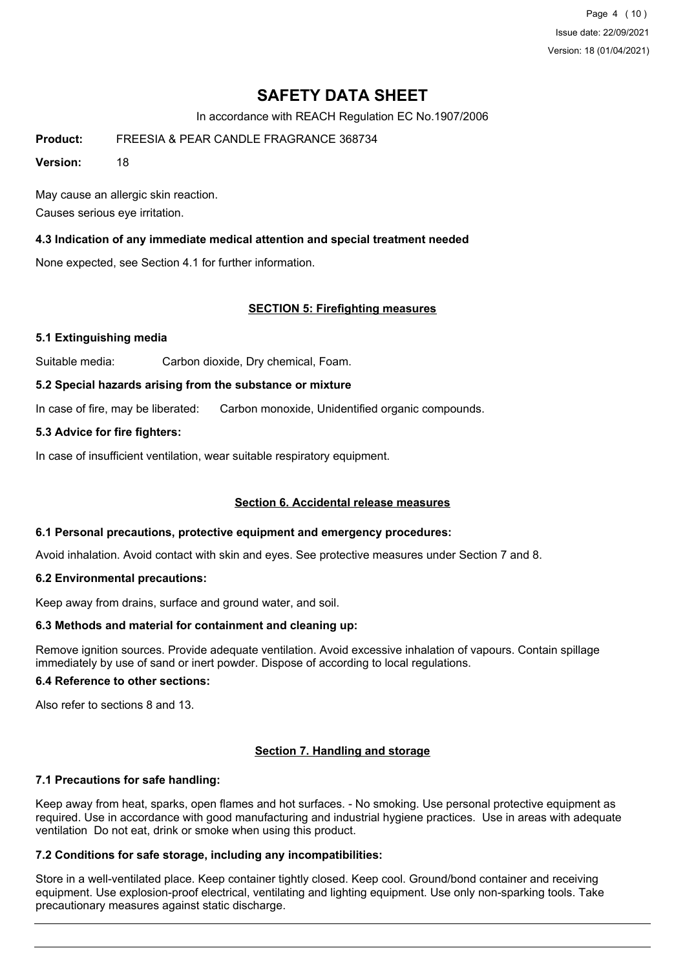Page 4 (10) Issue date: 22/09/2021 Version: 18 (01/04/2021)

# **SAFETY DATA SHEET**

In accordance with REACH Regulation EC No.1907/2006

**Product:** FREESIA & PEAR CANDLE FRAGRANCE 368734

**Version:** 18

May cause an allergic skin reaction. Causes serious eye irritation.

## **4.3 Indication of any immediate medical attention and special treatment needed**

None expected, see Section 4.1 for further information.

## **SECTION 5: Firefighting measures**

### **5.1 Extinguishing media**

Suitable media: Carbon dioxide, Dry chemical, Foam.

#### **5.2 Special hazards arising from the substance or mixture**

In case of fire, may be liberated: Carbon monoxide, Unidentified organic compounds.

### **5.3 Advice for fire fighters:**

In case of insufficient ventilation, wear suitable respiratory equipment.

### **Section 6. Accidental release measures**

### **6.1 Personal precautions, protective equipment and emergency procedures:**

Avoid inhalation. Avoid contact with skin and eyes. See protective measures under Section 7 and 8.

### **6.2 Environmental precautions:**

Keep away from drains, surface and ground water, and soil.

## **6.3 Methods and material for containment and cleaning up:**

Remove ignition sources. Provide adequate ventilation. Avoid excessive inhalation of vapours. Contain spillage immediately by use of sand or inert powder. Dispose of according to local regulations.

### **6.4 Reference to other sections:**

Also refer to sections 8 and 13.

## **Section 7. Handling and storage**

### **7.1 Precautions for safe handling:**

Keep away from heat, sparks, open flames and hot surfaces. - No smoking. Use personal protective equipment as required. Use in accordance with good manufacturing and industrial hygiene practices. Use in areas with adequate ventilation Do not eat, drink or smoke when using this product.

### **7.2 Conditions for safe storage, including any incompatibilities:**

Store in a well-ventilated place. Keep container tightly closed. Keep cool. Ground/bond container and receiving equipment. Use explosion-proof electrical, ventilating and lighting equipment. Use only non-sparking tools. Take precautionary measures against static discharge.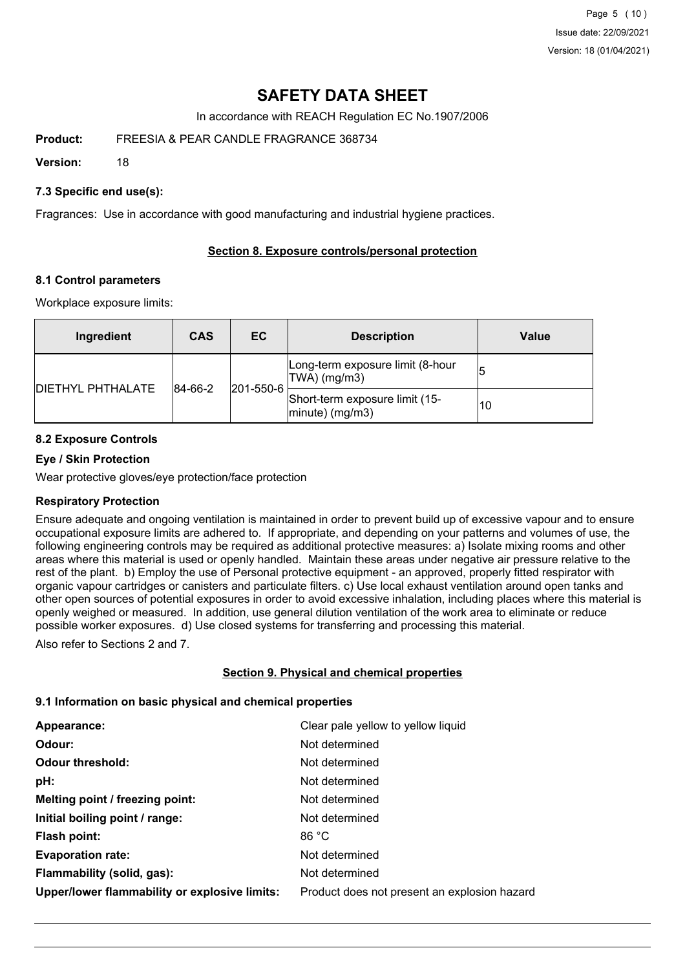Page 5 (10) Issue date: 22/09/2021 Version: 18 (01/04/2021)

# **SAFETY DATA SHEET**

In accordance with REACH Regulation EC No.1907/2006

**Product:** FREESIA & PEAR CANDLE FRAGRANCE 368734

**Version:** 18

## **7.3 Specific end use(s):**

Fragrances: Use in accordance with good manufacturing and industrial hygiene practices.

## **Section 8. Exposure controls/personal protection**

### **8.1 Control parameters**

Workplace exposure limits:

| Ingredient               | <b>CAS</b> | EC.                          | <b>Description</b>                                   | <b>Value</b> |
|--------------------------|------------|------------------------------|------------------------------------------------------|--------------|
| <b>DIETHYL PHTHALATE</b> |            |                              | Long-term exposure limit (8-hour<br>TWA) (mg/m3)     |              |
|                          |            | $ 201 - 550 - 6 $<br>84-66-2 | Short-term exposure limit (15-<br>$ minute)$ (mg/m3) | 10           |

## **8.2 Exposure Controls**

### **Eye / Skin Protection**

Wear protective gloves/eye protection/face protection

### **Respiratory Protection**

Ensure adequate and ongoing ventilation is maintained in order to prevent build up of excessive vapour and to ensure occupational exposure limits are adhered to. If appropriate, and depending on your patterns and volumes of use, the following engineering controls may be required as additional protective measures: a) Isolate mixing rooms and other areas where this material is used or openly handled. Maintain these areas under negative air pressure relative to the rest of the plant. b) Employ the use of Personal protective equipment - an approved, properly fitted respirator with organic vapour cartridges or canisters and particulate filters. c) Use local exhaust ventilation around open tanks and other open sources of potential exposures in order to avoid excessive inhalation, including places where this material is openly weighed or measured. In addition, use general dilution ventilation of the work area to eliminate or reduce possible worker exposures. d) Use closed systems for transferring and processing this material.

Also refer to Sections 2 and 7.

### **Section 9. Physical and chemical properties**

### **9.1 Information on basic physical and chemical properties**

| Clear pale yellow to yellow liquid           |
|----------------------------------------------|
| Not determined                               |
| Not determined                               |
| Not determined                               |
| Not determined                               |
| Not determined                               |
| 86 °C                                        |
| Not determined                               |
| Not determined                               |
| Product does not present an explosion hazard |
|                                              |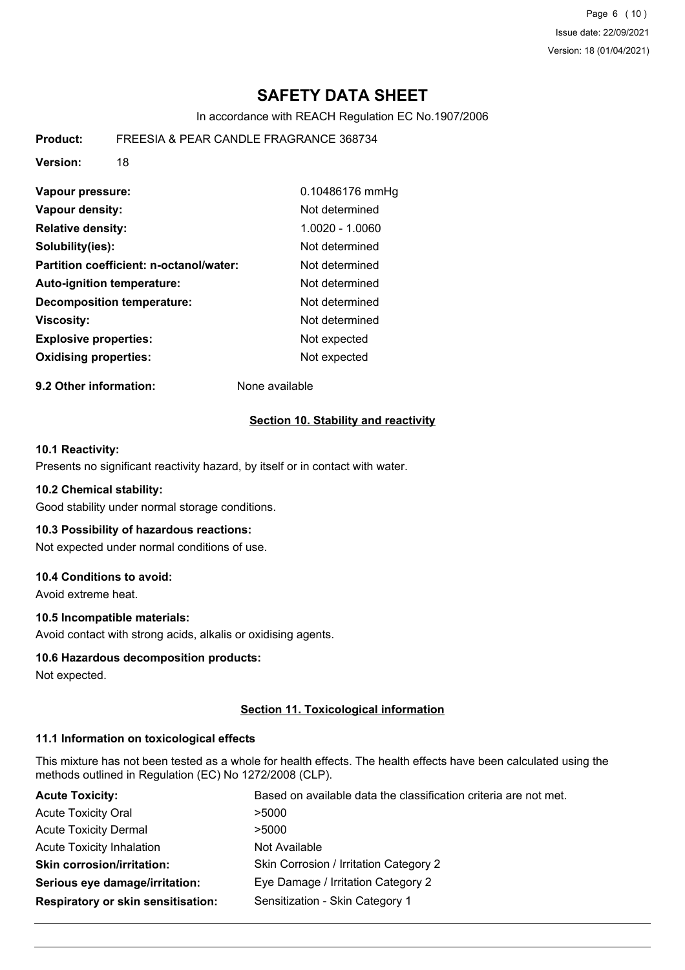Page 6 (10) Issue date: 22/09/2021 Version: 18 (01/04/2021)

# **SAFETY DATA SHEET**

In accordance with REACH Regulation EC No.1907/2006

**Product:** FREESIA & PEAR CANDLE FRAGRANCE 368734

**Version:** 18

| Vapour pressure:                        | 0.10486176 mmHg |
|-----------------------------------------|-----------------|
| Vapour density:                         | Not determined  |
| <b>Relative density:</b>                | 1.0020 - 1.0060 |
| Solubility(ies):                        | Not determined  |
| Partition coefficient: n-octanol/water: | Not determined  |
| <b>Auto-ignition temperature:</b>       | Not determined  |
| <b>Decomposition temperature:</b>       | Not determined  |
| <b>Viscosity:</b>                       | Not determined  |
| <b>Explosive properties:</b>            | Not expected    |
| <b>Oxidising properties:</b>            | Not expected    |

**9.2 Other information:** None available

#### **Section 10. Stability and reactivity**

#### **10.1 Reactivity:**

Presents no significant reactivity hazard, by itself or in contact with water.

#### **10.2 Chemical stability:**

Good stability under normal storage conditions.

#### **10.3 Possibility of hazardous reactions:**

Not expected under normal conditions of use.

### **10.4 Conditions to avoid:**

Avoid extreme heat.

#### **10.5 Incompatible materials:**

Avoid contact with strong acids, alkalis or oxidising agents.

#### **10.6 Hazardous decomposition products:**

Not expected.

#### **Section 11. Toxicological information**

#### **11.1 Information on toxicological effects**

This mixture has not been tested as a whole for health effects. The health effects have been calculated using the methods outlined in Regulation (EC) No 1272/2008 (CLP).

| <b>Acute Toxicity:</b>             | Based on available data the classification criteria are not met. |
|------------------------------------|------------------------------------------------------------------|
| <b>Acute Toxicity Oral</b>         | >5000                                                            |
| <b>Acute Toxicity Dermal</b>       | >5000                                                            |
| <b>Acute Toxicity Inhalation</b>   | Not Available                                                    |
| <b>Skin corrosion/irritation:</b>  | Skin Corrosion / Irritation Category 2                           |
| Serious eye damage/irritation:     | Eye Damage / Irritation Category 2                               |
| Respiratory or skin sensitisation: | Sensitization - Skin Category 1                                  |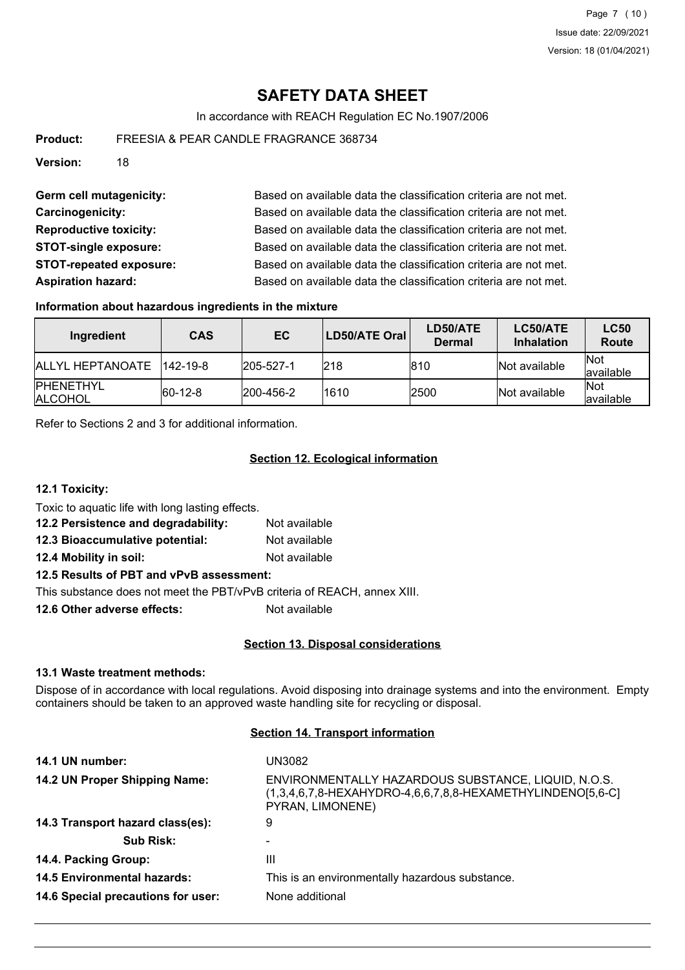# **SAFETY DATA SHEET**

In accordance with REACH Regulation EC No.1907/2006

**Product:** FREESIA & PEAR CANDLE FRAGRANCE 368734

**Version:** 18

Germ cell mutagenicity: Based on available data the classification criteria are not met. **Carcinogenicity:** Based on available data the classification criteria are not met. **Reproductive toxicity:** Based on available data the classification criteria are not met. **STOT-single exposure:** Based on available data the classification criteria are not met. **STOT-repeated exposure:** Based on available data the classification criteria are not met. **Aspiration hazard:** Based on available data the classification criteria are not met.

#### **Information about hazardous ingredients in the mixture**

| Ingredient                          | <b>CAS</b>   | EC                | <b>LD50/ATE Oral</b> | LD50/ATE<br>Dermal | LC50/ATE<br><b>Inhalation</b> | <b>LC50</b><br>Route     |
|-------------------------------------|--------------|-------------------|----------------------|--------------------|-------------------------------|--------------------------|
| <b>IALLYL HEPTANOATE</b>            | $ 142-19-8 $ | $ 205 - 527 - 1 $ | 218                  | 810                | Not available                 | <b>Not</b><br>lavailable |
| <b>IPHENETHYL</b><br><b>ALCOHOL</b> | $ 60-12-8 $  | $ 200 - 456 - 2 $ | 1610                 | 2500               | Not available                 | <b>Not</b><br>lavailable |

Refer to Sections 2 and 3 for additional information.

#### **Section 12. Ecological information**

**12.1 Toxicity:**

Toxic to aquatic life with long lasting effects.

**12.2 Persistence and degradability:** Not available

**12.3 Bioaccumulative potential:** Not available

**12.4 Mobility in soil:** Not available

### **12.5 Results of PBT and vPvB assessment:**

This substance does not meet the PBT/vPvB criteria of REACH, annex XIII.

**12.6 Other adverse effects:** Not available

### **Section 13. Disposal considerations**

#### **13.1 Waste treatment methods:**

Dispose of in accordance with local regulations. Avoid disposing into drainage systems and into the environment. Empty containers should be taken to an approved waste handling site for recycling or disposal.

## **Section 14. Transport information**

| 14.1 UN number:                    | UN3082                                                                                                                                   |
|------------------------------------|------------------------------------------------------------------------------------------------------------------------------------------|
| 14.2 UN Proper Shipping Name:      | ENVIRONMENTALLY HAZARDOUS SUBSTANCE, LIQUID, N.O.S.<br>$(1,3,4,6,7,8$ -HEXAHYDRO-4,6,6,7,8,8-HEXAMETHYLINDENO[5,6-C]<br>PYRAN, LIMONENE) |
| 14.3 Transport hazard class(es):   | 9                                                                                                                                        |
| <b>Sub Risk:</b>                   |                                                                                                                                          |
| 14.4. Packing Group:               | Ш                                                                                                                                        |
| <b>14.5 Environmental hazards:</b> | This is an environmentally hazardous substance.                                                                                          |
| 14.6 Special precautions for user: | None additional                                                                                                                          |
|                                    |                                                                                                                                          |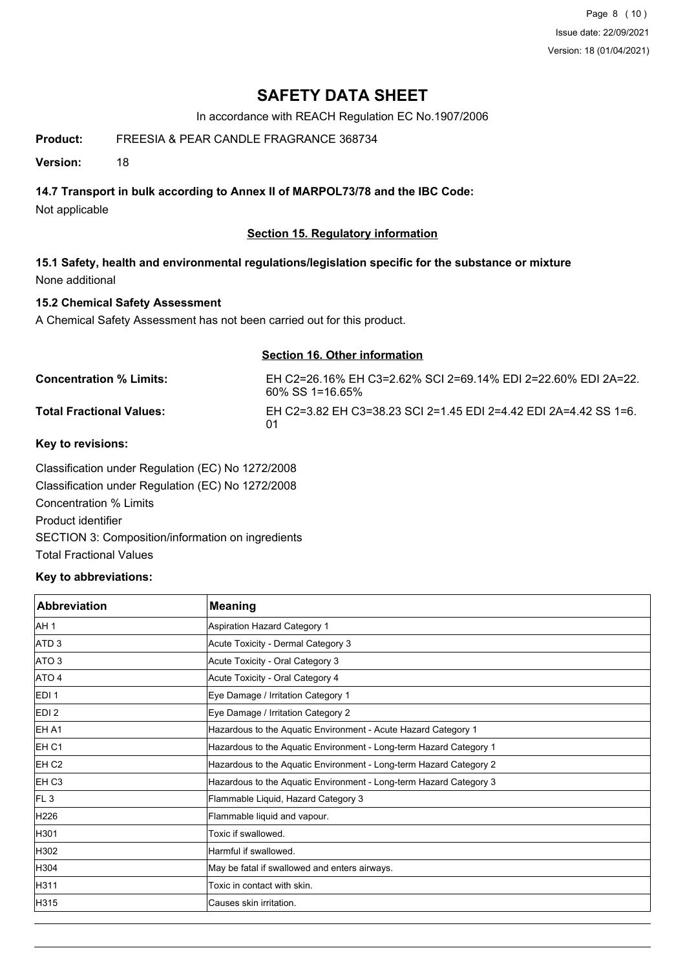Page 8 (10) Issue date: 22/09/2021 Version: 18 (01/04/2021)

# **SAFETY DATA SHEET**

In accordance with REACH Regulation EC No.1907/2006

## **Product:** FREESIA & PEAR CANDLE FRAGRANCE 368734

**Version:** 18

## **14.7 Transport in bulk according to Annex II of MARPOL73/78 and the IBC Code:**

Not applicable

## **Section 15. Regulatory information**

**15.1 Safety, health and environmental regulations/legislation specific for the substance or mixture** None additional

## **15.2 Chemical Safety Assessment**

A Chemical Safety Assessment has not been carried out for this product.

#### **Section 16. Other information**

| <b>Concentration % Limits:</b>  | EH C2=26.16% EH C3=2.62% SCI 2=69.14% EDI 2=22.60% EDI 2A=22.<br>60% SS 1=16.65% |
|---------------------------------|----------------------------------------------------------------------------------|
| <b>Total Fractional Values:</b> | EH C2=3.82 EH C3=38.23 SCI 2=1.45 EDI 2=4.42 EDI 2A=4.42 SS 1=6.<br>01           |

### **Key to revisions:**

Classification under Regulation (EC) No 1272/2008 Classification under Regulation (EC) No 1272/2008 Concentration % Limits Product identifier SECTION 3: Composition/information on ingredients Total Fractional Values

### **Key to abbreviations:**

| <b>Abbreviation</b> | <b>Meaning</b>                                                     |
|---------------------|--------------------------------------------------------------------|
| AH <sub>1</sub>     | Aspiration Hazard Category 1                                       |
| ATD <sub>3</sub>    | Acute Toxicity - Dermal Category 3                                 |
| ATO <sub>3</sub>    | Acute Toxicity - Oral Category 3                                   |
| ATO 4               | Acute Toxicity - Oral Category 4                                   |
| EDI <sub>1</sub>    | Eye Damage / Irritation Category 1                                 |
| EDI <sub>2</sub>    | Eye Damage / Irritation Category 2                                 |
| EH A1               | Hazardous to the Aquatic Environment - Acute Hazard Category 1     |
| EH C1               | Hazardous to the Aquatic Environment - Long-term Hazard Category 1 |
| EH <sub>C2</sub>    | Hazardous to the Aquatic Environment - Long-term Hazard Category 2 |
| EH <sub>C3</sub>    | Hazardous to the Aquatic Environment - Long-term Hazard Category 3 |
| FL <sub>3</sub>     | Flammable Liquid, Hazard Category 3                                |
| H226                | Flammable liquid and vapour.                                       |
| H301                | Toxic if swallowed.                                                |
| H302                | Harmful if swallowed.                                              |
| H304                | May be fatal if swallowed and enters airways.                      |
| H311                | Toxic in contact with skin.                                        |
| H315                | Causes skin irritation.                                            |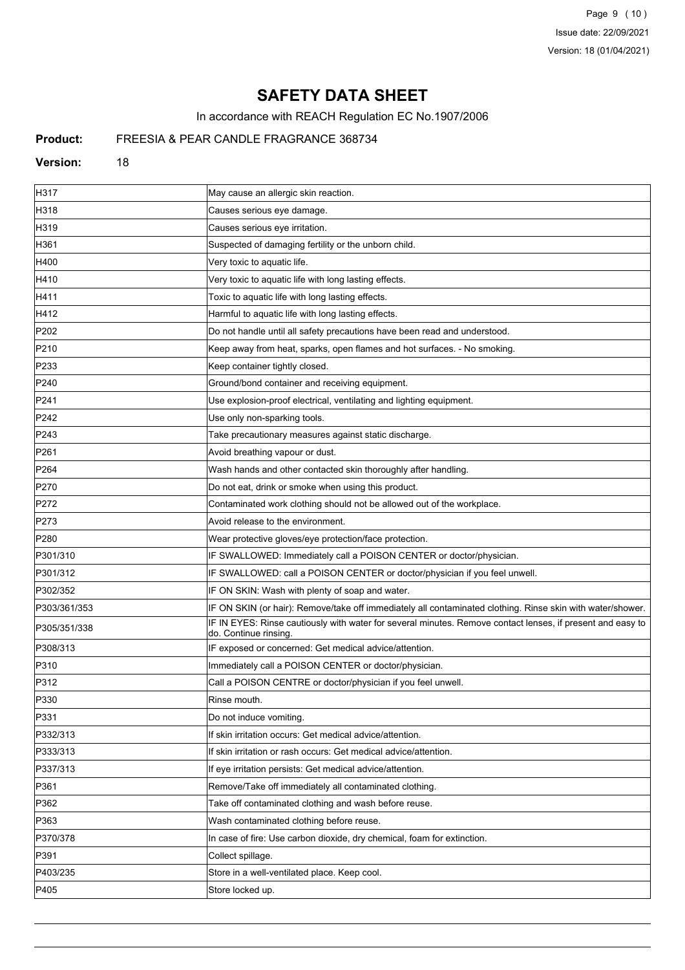Page 9 (10) Issue date: 22/09/2021 Version: 18 (01/04/2021)

# **SAFETY DATA SHEET**

In accordance with REACH Regulation EC No.1907/2006

# **Product:** FREESIA & PEAR CANDLE FRAGRANCE 368734

#### **Version:** 18

| H317             | May cause an allergic skin reaction.                                                                                                |
|------------------|-------------------------------------------------------------------------------------------------------------------------------------|
| H318             | Causes serious eye damage.                                                                                                          |
| H319             | Causes serious eye irritation.                                                                                                      |
| H361             | Suspected of damaging fertility or the unborn child.                                                                                |
| H400             | Very toxic to aquatic life.                                                                                                         |
| H410             | Very toxic to aquatic life with long lasting effects.                                                                               |
| H411             | Toxic to aquatic life with long lasting effects.                                                                                    |
| H412             | Harmful to aquatic life with long lasting effects.                                                                                  |
| P <sub>202</sub> | Do not handle until all safety precautions have been read and understood.                                                           |
| P210             | Keep away from heat, sparks, open flames and hot surfaces. - No smoking.                                                            |
| P233             | Keep container tightly closed.                                                                                                      |
| P240             | Ground/bond container and receiving equipment.                                                                                      |
| P241             | Use explosion-proof electrical, ventilating and lighting equipment.                                                                 |
| P242             | Use only non-sparking tools.                                                                                                        |
| P243             | Take precautionary measures against static discharge.                                                                               |
| P261             | Avoid breathing vapour or dust.                                                                                                     |
| P <sub>264</sub> | Wash hands and other contacted skin thoroughly after handling.                                                                      |
| P270             | Do not eat, drink or smoke when using this product.                                                                                 |
| P272             | Contaminated work clothing should not be allowed out of the workplace.                                                              |
| P273             | Avoid release to the environment.                                                                                                   |
| P <sub>280</sub> | Wear protective gloves/eye protection/face protection.                                                                              |
| P301/310         | IF SWALLOWED: Immediately call a POISON CENTER or doctor/physician.                                                                 |
| P301/312         | IF SWALLOWED: call a POISON CENTER or doctor/physician if you feel unwell.                                                          |
| P302/352         | IF ON SKIN: Wash with plenty of soap and water.                                                                                     |
| P303/361/353     | IF ON SKIN (or hair): Remove/take off immediately all contaminated clothing. Rinse skin with water/shower.                          |
| P305/351/338     | IF IN EYES: Rinse cautiously with water for several minutes. Remove contact lenses, if present and easy to<br>do. Continue rinsing. |
| P308/313         | IF exposed or concerned: Get medical advice/attention.                                                                              |
| P310             | Immediately call a POISON CENTER or doctor/physician.                                                                               |
| P312             | Call a POISON CENTRE or doctor/physician if you feel unwell.                                                                        |
| P330             | Rinse mouth.                                                                                                                        |
| P331             | Do not induce vomiting.                                                                                                             |
| P332/313         | If skin irritation occurs: Get medical advice/attention.                                                                            |
| P333/313         | If skin irritation or rash occurs: Get medical advice/attention.                                                                    |
| P337/313         | If eye irritation persists: Get medical advice/attention.                                                                           |
| P361             | Remove/Take off immediately all contaminated clothing.                                                                              |
| P362             | Take off contaminated clothing and wash before reuse.                                                                               |
| P363             | Wash contaminated clothing before reuse.                                                                                            |
| P370/378         | In case of fire: Use carbon dioxide, dry chemical, foam for extinction.                                                             |
| P391             | Collect spillage.                                                                                                                   |
| P403/235         | Store in a well-ventilated place. Keep cool.                                                                                        |
| P405             | Store locked up.                                                                                                                    |